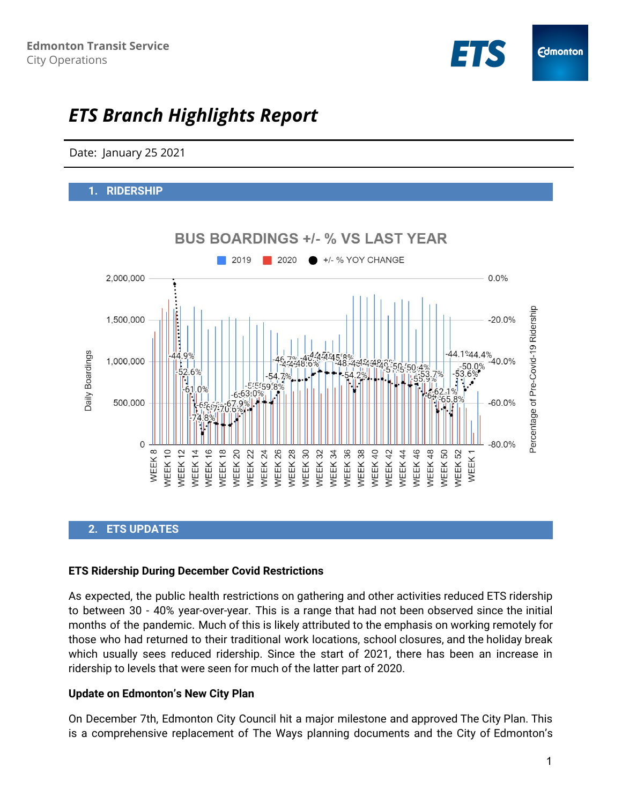

# *ETS Branch Highlights Report*

Date: January 25 2021

#### **1. RIDERSHIP**



## **2. ETS UPDATES**

#### **ETS Ridership During December Covid Restrictions**

As expected, the public health restrictions on gathering and other activities reduced ETS ridership to between 30 - 40% year-over-year. This is a range that had not been observed since the initial months of the pandemic. Much of this is likely attributed to the emphasis on working remotely for those who had returned to their traditional work locations, school closures, and the holiday break which usually sees reduced ridership. Since the start of 2021, there has been an increase in ridership to levels that were seen for much of the latter part of 2020.

## **Update on Edmonton's New City Plan**

On December 7th, Edmonton City Council hit a major milestone and approved The City Plan. This is a comprehensive replacement of The Ways planning documents and the City of Edmonton's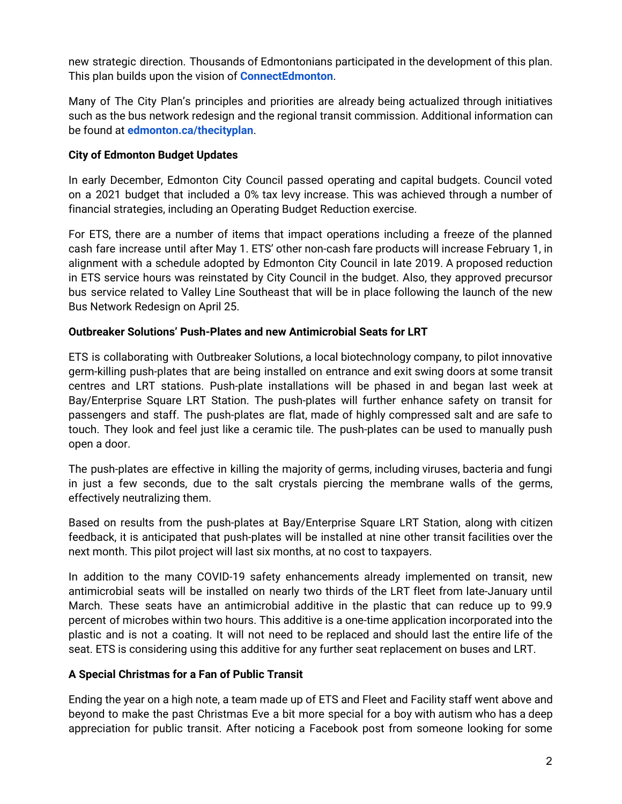new strategic direction. Thousands of Edmontonians participated in the development of this plan. This plan builds upon the vision of **[ConnectEdmonton](https://www.edmonton.ca/city_government/city_vision_and_strategic_plan/connectedmonton.aspx)**.

Many of The City Plan's principles and priorities are already being actualized through initiatives such as the bus network redesign and the regional transit commission. Additional information can be found at **[edmonton.ca/thecityplan](http://www.edmonton.ca/thecityplan)**.

# **City of Edmonton Budget Updates**

In early December, Edmonton City Council passed operating and capital budgets. Council voted on a 2021 budget that included a 0% tax levy increase. This was achieved through a number of financial strategies, including an Operating Budget Reduction exercise.

For ETS, there are a number of items that impact operations including a freeze of the planned cash fare increase until after May 1. ETS' other non-cash fare products will increase February 1, in alignment with a schedule adopted by Edmonton City Council in late 2019. A proposed reduction in ETS service hours was reinstated by City Council in the budget. Also, they approved precursor bus service related to Valley Line Southeast that will be in place following the launch of the new Bus Network Redesign on April 25.

## **Outbreaker Solutions' Push-Plates and new Antimicrobial Seats for LRT**

ETS is collaborating with Outbreaker Solutions, a local biotechnology company, to pilot innovative germ-killing push-plates that are being installed on entrance and exit swing doors at some transit centres and LRT stations. Push-plate installations will be phased in and began last week at Bay/Enterprise Square LRT Station. The push-plates will further enhance safety on transit for passengers and staff. The push-plates are flat, made of highly compressed salt and are safe to touch. They look and feel just like a ceramic tile. The push-plates can be used to manually push open a door.

The push-plates are effective in killing the majority of germs, including viruses, bacteria and fungi in just a few seconds, due to the salt crystals piercing the membrane walls of the germs, effectively neutralizing them.

Based on results from the push-plates at Bay/Enterprise Square LRT Station, along with citizen feedback, it is anticipated that push-plates will be installed at nine other transit facilities over the next month. This pilot project will last six months, at no cost to taxpayers.

In addition to the many COVID-19 safety enhancements already implemented on transit, new antimicrobial seats will be installed on nearly two thirds of the LRT fleet from late-January until March. These seats have an antimicrobial additive in the plastic that can reduce up to 99.9 percent of microbes within two hours. This additive is a one-time application incorporated into the plastic and is not a coating. It will not need to be replaced and should last the entire life of the seat. ETS is considering using this additive for any further seat replacement on buses and LRT.

## **A Special Christmas for a Fan of Public Transit**

Ending the year on a high note, a team made up of ETS and Fleet and Facility staff went above and beyond to make the past Christmas Eve a bit more special for a boy with autism who has a deep appreciation for public transit. After noticing a Facebook post from someone looking for some